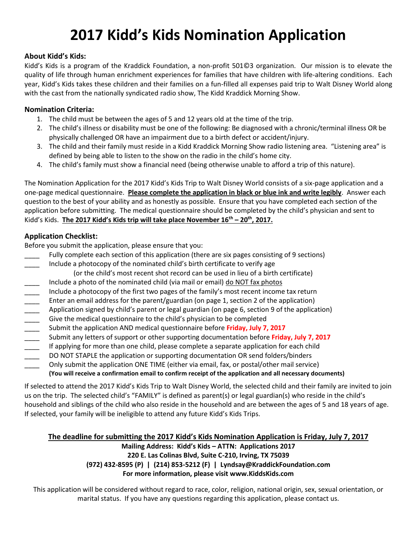# **2017 Kidd's Kids Nomination Application**

#### **About Kidd's Kids:**

Kidd's Kids is a program of the Kraddick Foundation, a non-profit 501©3 organization. Our mission is to elevate the quality of life through human enrichment experiences for families that have children with life-altering conditions. Each year, Kidd's Kids takes these children and their families on a fun-filled all expenses paid trip to Walt Disney World along with the cast from the nationally syndicated radio show, The Kidd Kraddick Morning Show.

#### **Nomination Criteria:**

- 1. The child must be between the ages of 5 and 12 years old at the time of the trip.
- 2. The child's illness or disability must be one of the following: Be diagnosed with a chronic/terminal illness OR be physically challenged OR have an impairment due to a birth defect or accident/injury.
- 3. The child and their family must reside in a Kidd Kraddick Morning Show radio listening area. "Listening area" is defined by being able to listen to the show on the radio in the child's home city.
- 4. The child's family must show a financial need (being otherwise unable to afford a trip of this nature).

The Nomination Application for the 2017 Kidd's Kids Trip to Walt Disney World consists of a six-page application and a one-page medical questionnaire. **Please complete the application in black or blue ink and write legibly**. Answer each question to the best of your ability and as honestly as possible. Ensure that you have completed each section of the application before submitting. The medical questionnaire should be completed by the child's physician and sent to Kidd's Kids. **The 2017 Kidd's Kids trip will take place November 16th – 20th , 2017.**

#### **Application Checklist:**

Before you submit the application, please ensure that you:

- Fully complete each section of this application (there are six pages consisting of 9 sections)
- \_\_\_\_ Include a photocopy of the nominated child's birth certificate to verify age
	- (or the child's most recent shot record can be used in lieu of a birth certificate)
- 
- Include a photo of the nominated child (via mail or email) <u>do NOT fax photos</u><br>Include a photocopy of the first two pages of the family's most recent income<br>Enter an email address for the parent/guardian (on page 1, sectio Include a photocopy of the first two pages of the family's most recent income tax return
- Enter an email address for the parent/guardian (on page 1, section 2 of the application)
- Application signed by child's parent or legal guardian (on page 6, section 9 of the application)
- Give the medical questionnaire to the child's physician to be completed
- 
- \_\_\_\_ Submit any letters of support or other supporting documentation before **Friday, July 7, 2017**
- Submit the application AND medical questionnaire before **Friday, July 7, 2017**<br>Submit any letters of support or other supporting documentation before **Frida**<br>If applying for more than one child, please complete a separate If applying for more than one child, please complete a separate application for each child
- DO NOT STAPLE the application or supporting documentation OR send folders/binders
- Only submit the application ONE TIME (either via email, fax, or postal/other mail service)
	- **(You will receive a confirmation email to confirm receipt of the application and all necessary documents)**

If selected to attend the 2017 Kidd's Kids Trip to Walt Disney World, the selected child and their family are invited to join us on the trip. The selected child's "FAMILY" is defined as parent(s) or legal guardian(s) who reside in the child's household and siblings of the child who also reside in the household and are between the ages of 5 and 18 years of age. If selected, your family will be ineligible to attend any future Kidd's Kids Trips.

#### **The deadline for submitting the 2017 Kidd's Kids Nomination Application is Friday, July 7, 2017**

#### **Mailing Address: Kidd's Kids – ATTN: Applications 2017 220 E. Las Colinas Blvd, Suite C-210, Irving, TX 75039 (972) 432-8595 (P) | (214) 853-5212 (F) | Lyndsay@KraddickFoundation.com For more information, please visit www.KiddsKids.com**

This application will be considered without regard to race, color, religion, national origin, sex, sexual orientation, or marital status. If you have any questions regarding this application, please contact us.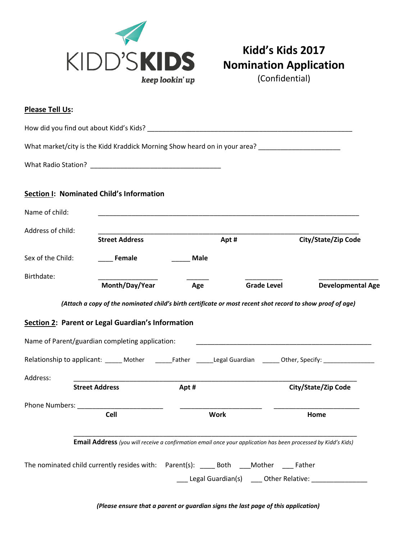

# **Kidd's Kids 2017 Nomination Application**

(Confidential)

| Please Tell Us:       |                                                                                                               |             |                                                                                                                         |                                                                                                                        |
|-----------------------|---------------------------------------------------------------------------------------------------------------|-------------|-------------------------------------------------------------------------------------------------------------------------|------------------------------------------------------------------------------------------------------------------------|
|                       |                                                                                                               |             |                                                                                                                         |                                                                                                                        |
|                       | What market/city is the Kidd Kraddick Morning Show heard on in your area? ________________________            |             |                                                                                                                         |                                                                                                                        |
|                       |                                                                                                               |             |                                                                                                                         |                                                                                                                        |
|                       | Section I: Nominated Child's Information                                                                      |             |                                                                                                                         |                                                                                                                        |
| Name of child:        |                                                                                                               |             | <u> 1989 - Johann John Stoff, deutscher Stoff und der Stoff und der Stoff und der Stoff und der Stoff und der Stoff</u> |                                                                                                                        |
| Address of child:     | <b>Street Address</b>                                                                                         |             | Apt#                                                                                                                    | City/State/Zip Code                                                                                                    |
| Sex of the Child:     | <b>Female</b>                                                                                                 | Male        |                                                                                                                         |                                                                                                                        |
| Birthdate:            | Month/Day/Year                                                                                                | Age         | <b>Grade Level</b>                                                                                                      | <b>Developmental Age</b>                                                                                               |
|                       | (Attach a copy of the nominated child's birth certificate or most recent shot record to show proof of age)    |             |                                                                                                                         |                                                                                                                        |
|                       | Section 2: Parent or Legal Guardian's Information                                                             |             |                                                                                                                         |                                                                                                                        |
|                       | Name of Parent/guardian completing application:                                                               |             | <u> 1990 - Johann John Stone, mars et al. (1991)</u>                                                                    |                                                                                                                        |
|                       |                                                                                                               |             |                                                                                                                         | Relationship to applicant: ______ Mother __________Father _______Legal Guardian _______ Other, Specify: ______________ |
| Address:              | <b>Street Address</b>                                                                                         | Apt#        |                                                                                                                         | <b>City/State/Zip Code</b>                                                                                             |
| Phone Numbers: ______ |                                                                                                               |             |                                                                                                                         |                                                                                                                        |
|                       | <b>Cell</b>                                                                                                   | <b>Work</b> |                                                                                                                         | Home                                                                                                                   |
|                       | Email Address (you will receive a confirmation email once your application has been processed by Kidd's Kids) |             |                                                                                                                         |                                                                                                                        |
|                       | The nominated child currently resides with: Parent(s): _____ Both ____Mother ____ Father                      |             |                                                                                                                         |                                                                                                                        |
|                       |                                                                                                               |             |                                                                                                                         | Legal Guardian(s) _____ Other Relative: ________________                                                               |

*(Please ensure that a parent or guardian signs the last page of this application)*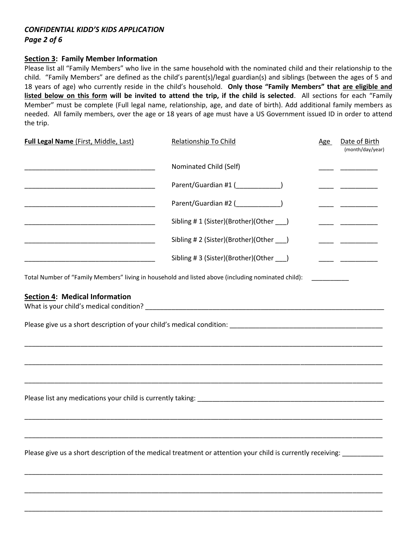# *CONFIDENTIAL KIDD'S KIDS APPLICATION*

*Page 2 of 6*

#### **Section 3: Family Member Information**

Please list all "Family Members" who live in the same household with the nominated child and their relationship to the child. "Family Members" are defined as the child's parent(s)/legal guardian(s) and siblings (between the ages of 5 and 18 years of age) who currently reside in the child's household. **Only those "Family Members" that are eligible and listed below on this form will be invited to attend the trip, if the child is selected**. All sections for each "Family Member" must be complete (Full legal name, relationship, age, and date of birth). Add additional family members as needed. All family members, over the age or 18 years of age must have a US Government issued ID in order to attend the trip.

| <b>Full Legal Name (First, Middle, Last)</b>             | <b>Relationship To Child</b>                                                                                       | Age | Date of Birth<br>(month/day/year) |
|----------------------------------------------------------|--------------------------------------------------------------------------------------------------------------------|-----|-----------------------------------|
|                                                          | Nominated Child (Self)                                                                                             |     |                                   |
| <u> 1989 - Johann John Stone, mars eta biztanleria (</u> | Parent/Guardian #1 (_____________)                                                                                 |     |                                   |
|                                                          | Parent/Guardian #2 (______________)                                                                                |     |                                   |
|                                                          | Sibling #1 (Sister)(Brother)(Other ___)                                                                            |     |                                   |
|                                                          | Sibling #2 (Sister)(Brother)(Other ___)                                                                            |     |                                   |
|                                                          | Sibling #3 (Sister)(Brother)(Other ___)                                                                            |     |                                   |
| <b>Section 4: Medical Information</b>                    |                                                                                                                    |     |                                   |
|                                                          |                                                                                                                    |     |                                   |
|                                                          | Please give us a short description of the medical treatment or attention your child is currently receiving: ______ |     |                                   |

\_\_\_\_\_\_\_\_\_\_\_\_\_\_\_\_\_\_\_\_\_\_\_\_\_\_\_\_\_\_\_\_\_\_\_\_\_\_\_\_\_\_\_\_\_\_\_\_\_\_\_\_\_\_\_\_\_\_\_\_\_\_\_\_\_\_\_\_\_\_\_\_\_\_\_\_\_\_\_\_\_\_\_\_\_\_\_\_\_\_\_\_\_\_\_\_

\_\_\_\_\_\_\_\_\_\_\_\_\_\_\_\_\_\_\_\_\_\_\_\_\_\_\_\_\_\_\_\_\_\_\_\_\_\_\_\_\_\_\_\_\_\_\_\_\_\_\_\_\_\_\_\_\_\_\_\_\_\_\_\_\_\_\_\_\_\_\_\_\_\_\_\_\_\_\_\_\_\_\_\_\_\_\_\_\_\_\_\_\_\_\_\_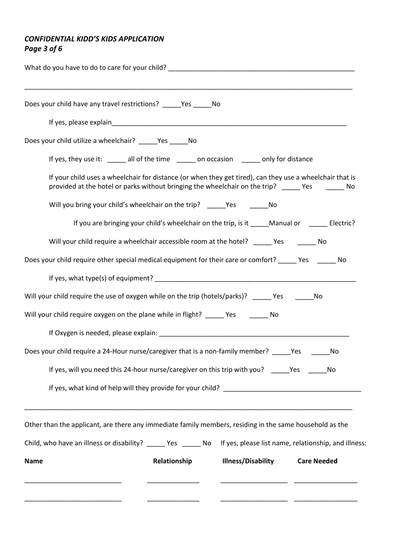## *CONFIDENTIAL KIDD'S KIDS APPLICATION Page 3 of 6*

| Does your child have any travel restrictions? ______Yes ________ No                                                                                                                                         |
|-------------------------------------------------------------------------------------------------------------------------------------------------------------------------------------------------------------|
|                                                                                                                                                                                                             |
| Does your child utilize a wheelchair? _______ Yes _______ No                                                                                                                                                |
| If yes, they use it: ______ all of the time ______ on occasion ______ only for distance                                                                                                                     |
| If your child uses a wheelchair for distance (or when they get tired), can they use a wheelchair that is<br>provided at the hotel or parks without bringing the wheelchair on the trip? _____ Yes ______ No |
| Will you bring your child's wheelchair on the trip? _____Yes __________No                                                                                                                                   |
| If you are bringing your child's wheelchair on the trip, is it _____ Manual or _______ Electric?                                                                                                            |
| Will your child require a wheelchair accessible room at the hotel? ______ Yes ________ No                                                                                                                   |
| Does your child require other special medical equipment for their care or comfort? _____ Yes ______ No                                                                                                      |
|                                                                                                                                                                                                             |
| Will your child require the use of oxygen while on the trip (hotels/parks)? _____ Yes _______ No                                                                                                            |
| Will your child require oxygen on the plane while in flight? _____ Yes _______ No                                                                                                                           |
|                                                                                                                                                                                                             |
| Does your child require a 24-Hour nurse/caregiver that is a non-family member? _____Yes ____<br>No                                                                                                          |
| If yes, will you need this 24-hour nurse/caregiver on this trip with you? ______ Yes<br>No                                                                                                                  |
|                                                                                                                                                                                                             |
| Other than the applicant, are there any immediate family members, residing in the same household as the                                                                                                     |
| Child, who have an illness or disability? ______ Yes ______ No lf yes, please list name, relationship, and illness:                                                                                         |
| <b>Illness/Disability</b><br>Relationship<br><b>Care Needed</b><br>Name                                                                                                                                     |
|                                                                                                                                                                                                             |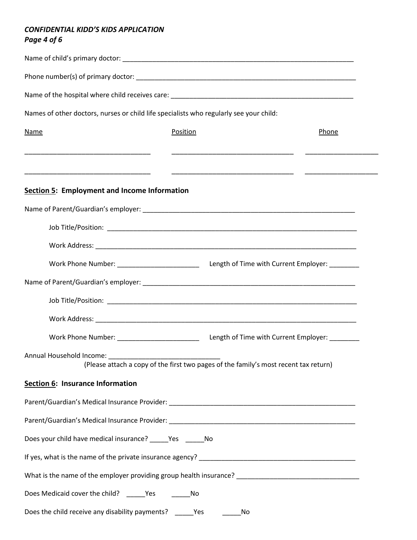#### *CONFIDENTIAL KIDD'S KIDS APPLICATION Page 4 of 6*

| Names of other doctors, nurses or child life specialists who regularly see your child: |                                                                                      |  |       |  |
|----------------------------------------------------------------------------------------|--------------------------------------------------------------------------------------|--|-------|--|
| Name<br><u> 1980 - Johann Barnett, fransk politik (f. 1980)</u>                        | Position                                                                             |  | Phone |  |
| <b>Section 5: Employment and Income Information</b>                                    |                                                                                      |  |       |  |
|                                                                                        |                                                                                      |  |       |  |
|                                                                                        |                                                                                      |  |       |  |
|                                                                                        |                                                                                      |  |       |  |
|                                                                                        |                                                                                      |  |       |  |
|                                                                                        |                                                                                      |  |       |  |
|                                                                                        |                                                                                      |  |       |  |
|                                                                                        |                                                                                      |  |       |  |
|                                                                                        |                                                                                      |  |       |  |
| Annual Household Income:                                                               | (Please attach a copy of the first two pages of the family's most recent tax return) |  |       |  |
| Section 6: Insurance Information                                                       |                                                                                      |  |       |  |
|                                                                                        |                                                                                      |  |       |  |
|                                                                                        |                                                                                      |  |       |  |
| Does your child have medical insurance? ______ Yes _______ No                          |                                                                                      |  |       |  |
|                                                                                        |                                                                                      |  |       |  |
|                                                                                        |                                                                                      |  |       |  |
| Does Medicaid cover the child? _______ Yes                                             | No                                                                                   |  |       |  |
| Does the child receive any disability payments?                                        | Yes<br>No                                                                            |  |       |  |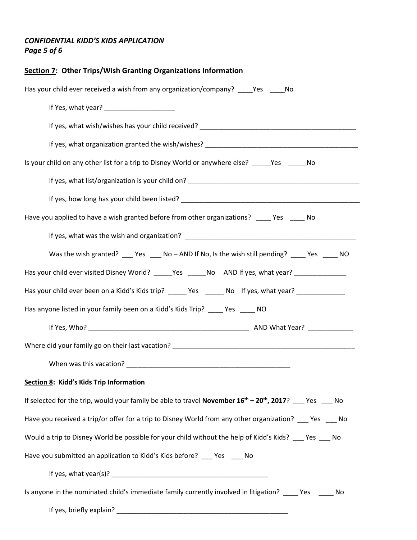## *CONFIDENTIAL KIDD'S KIDS APPLICATION Page 5 of 6*

| <b>Section 7: Other Trips/Wish Granting Organizations Information</b>                                                                                                                                                            |
|----------------------------------------------------------------------------------------------------------------------------------------------------------------------------------------------------------------------------------|
| Has your child ever received a wish from any organization/company? ____ Yes ____ No                                                                                                                                              |
|                                                                                                                                                                                                                                  |
|                                                                                                                                                                                                                                  |
|                                                                                                                                                                                                                                  |
| Is your child on any other list for a trip to Disney World or anywhere else? _____Yes ______No                                                                                                                                   |
| If yes, what list/organization is your child on?<br>The manuscript of the contract of the contract of the contract of the contract of the contract of the contract of the contract of the contract of the contract of the contra |
|                                                                                                                                                                                                                                  |
| Have you applied to have a wish granted before from other organizations? _____ Yes _____ No                                                                                                                                      |
|                                                                                                                                                                                                                                  |
| Was the wish granted? _____ Yes _____ No - AND If No, Is the wish still pending? ______ Yes ______ NO                                                                                                                            |
| Has your child ever visited Disney World? _____Yes _____No AND If yes, what year? ______________                                                                                                                                 |
| Has your child ever been on a Kidd's Kids trip? ______ Yes ______ No lf yes, what year? ____________                                                                                                                             |
| Has anyone listed in your family been on a Kidd's Kids Trip? ____ Yes ____ NO                                                                                                                                                    |
|                                                                                                                                                                                                                                  |
|                                                                                                                                                                                                                                  |
|                                                                                                                                                                                                                                  |
| Section 8: Kidd's Kids Trip Information                                                                                                                                                                                          |
| If selected for the trip, would your family be able to travel <b>November 16<sup>th</sup> – 20<sup>th</sup>, 2017</b> ? ___ Yes ___ No                                                                                           |
| Have you received a trip/or offer for a trip to Disney World from any other organization? Figs Theory                                                                                                                            |
| Would a trip to Disney World be possible for your child without the help of Kidd's Kids? ___ Yes ___ No                                                                                                                          |
| Have you submitted an application to Kidd's Kids before? ____ Yes ____ No                                                                                                                                                        |
|                                                                                                                                                                                                                                  |
| Is anyone in the nominated child's immediate family currently involved in litigation? _____ Yes ______ No                                                                                                                        |
|                                                                                                                                                                                                                                  |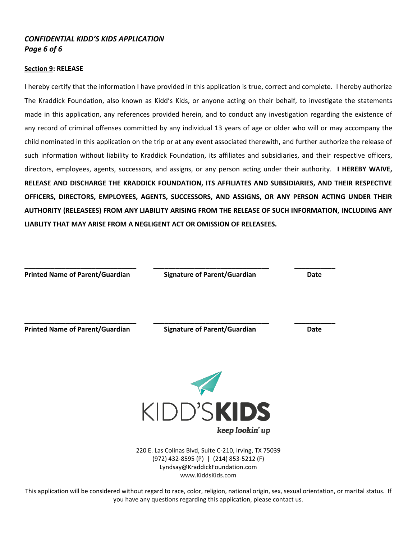#### *CONFIDENTIAL KIDD'S KIDS APPLICATION Page 6 of 6*

#### **Section 9: RELEASE**

I hereby certify that the information I have provided in this application is true, correct and complete. I hereby authorize The Kraddick Foundation, also known as Kidd's Kids, or anyone acting on their behalf, to investigate the statements made in this application, any references provided herein, and to conduct any investigation regarding the existence of any record of criminal offenses committed by any individual 13 years of age or older who will or may accompany the child nominated in this application on the trip or at any event associated therewith, and further authorize the release of such information without liability to Kraddick Foundation, its affiliates and subsidiaries, and their respective officers, directors, employees, agents, successors, and assigns, or any person acting under their authority. **I HEREBY WAIVE, RELEASE AND DISCHARGE THE KRADDICK FOUNDATION, ITS AFFILIATES AND SUBSIDIARIES, AND THEIR RESPECTIVE OFFICERS, DIRECTORS, EMPLOYEES, AGENTS, SUCCESSORS, AND ASSIGNS, OR ANY PERSON ACTING UNDER THEIR AUTHORITY (RELEASEES) FROM ANY LIABILITY ARISING FROM THE RELEASE OF SUCH INFORMATION, INCLUDING ANY LIABLITY THAT MAY ARISE FROM A NEGLIGENT ACT OR OMISSION OF RELEASEES.**



220 E. Las Colinas Blvd, Suite C-210, Irving, TX 75039 (972) 432-8595 (P) | (214) 853-5212 (F) Lyndsay@KraddickFoundation.com www.KiddsKids.com

This application will be considered without regard to race, color, religion, national origin, sex, sexual orientation, or marital status. If you have any questions regarding this application, please contact us.